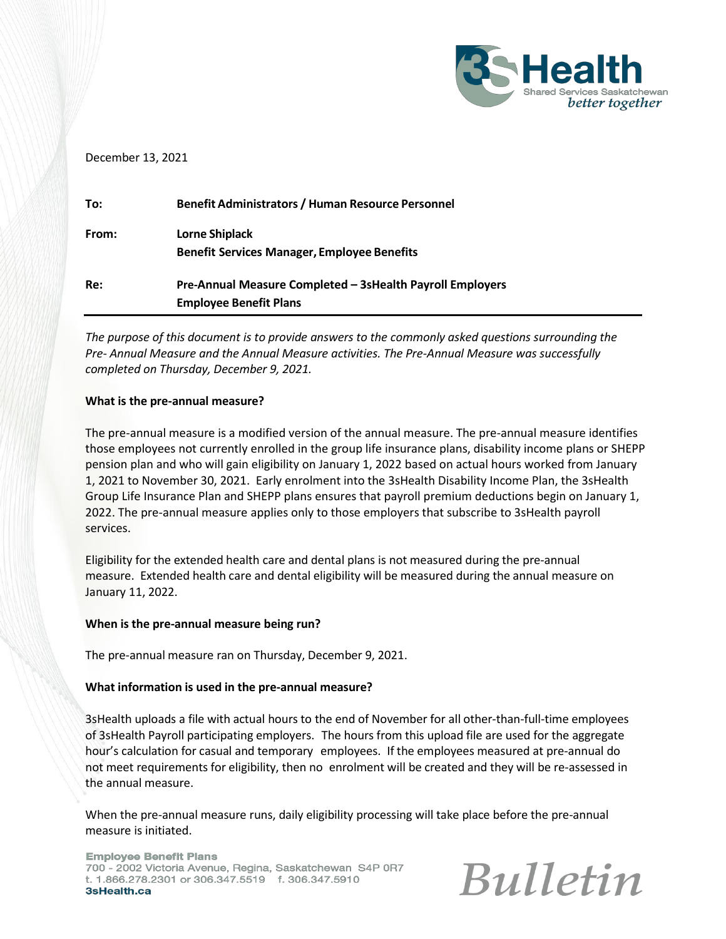

#### December 13, 2021

| To:   | <b>Benefit Administrators / Human Resource Personnel</b>  |
|-------|-----------------------------------------------------------|
| From: | Lorne Shiplack                                            |
|       | <b>Benefit Services Manager, Employee Benefits</b>        |
| Re:   | Pre-Annual Measure Completed - 3sHealth Payroll Employers |
|       | <b>Employee Benefit Plans</b>                             |

*The purpose of this document is to provide answers to the commonly asked questions surrounding the Pre- Annual Measure and the Annual Measure activities. The Pre-Annual Measure was successfully completed on Thursday, December 9, 2021.*

#### **What is the pre-annual measure?**

The pre-annual measure is a modified version of the annual measure. The pre-annual measure identifies those employees not currently enrolled in the group life insurance plans, disability income plans or SHEPP pension plan and who will gain eligibility on January 1, 2022 based on actual hours worked from January 1, 2021 to November 30, 2021. Early enrolment into the 3sHealth Disability Income Plan, the 3sHealth Group Life Insurance Plan and SHEPP plans ensures that payroll premium deductions begin on January 1, 2022. The pre-annual measure applies only to those employers that subscribe to 3sHealth payroll services.

Eligibility for the extended health care and dental plans is not measured during the pre-annual measure. Extended health care and dental eligibility will be measured during the annual measure on January 11, 2022.

#### **When is the pre-annual measure being run?**

The pre-annual measure ran on Thursday, December 9, 2021.

#### **What information is used in the pre-annual measure?**

3sHealth uploads a file with actual hours to the end of November for all other-than-full-time employees of 3sHealth Payroll participating employers. The hours from this upload file are used for the aggregate hour's calculation for casual and temporary employees. If the employees measured at pre-annual do not meet requirements for eligibility, then no enrolment will be created and they will be re-assessed in the annual measure.

When the pre-annual measure runs, daily eligibility processing will take place before the pre-annual measure is initiated.

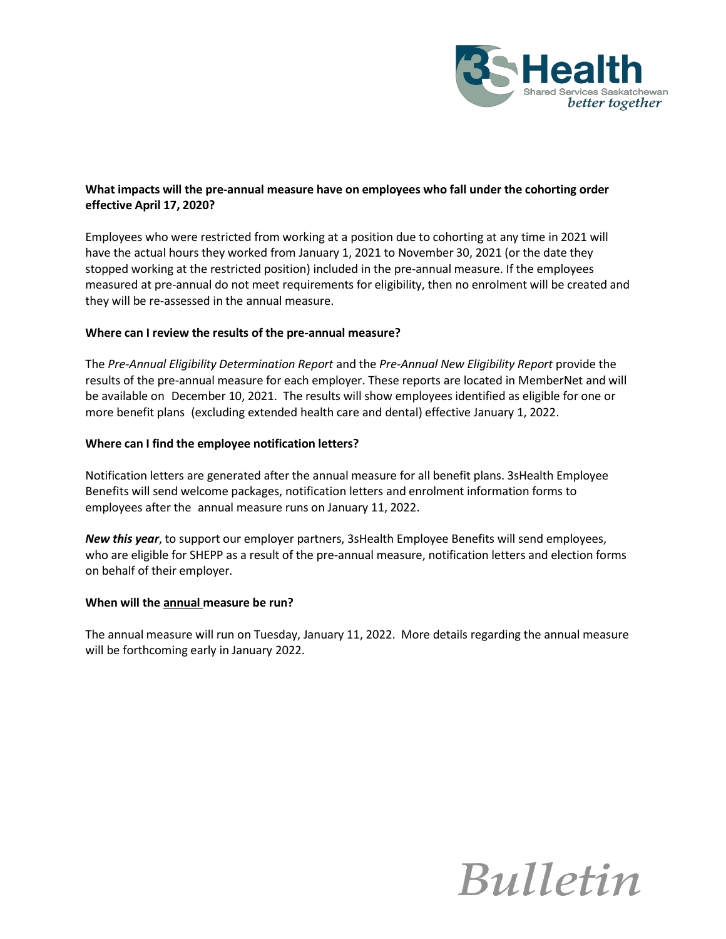

## **What impacts will the pre-annual measure have on employees who fall under the cohorting order effective April 17, 2020?**

Employees who were restricted from working at a position due to cohorting at any time in 2021 will have the actual hours they worked from January 1, 2021 to November 30, 2021 (or the date they stopped working at the restricted position) included in the pre-annual measure. If the employees measured at pre-annual do not meet requirements for eligibility, then no enrolment will be created and they will be re-assessed in the annual measure.

## **Where can I review the results of the pre-annual measure?**

The *Pre-Annual Eligibility Determination Report* and the *Pre-Annual New Eligibility Report* provide the results of the pre-annual measure for each employer. These reports are located in MemberNet and will be available on December 10, 2021. The results will show employees identified as eligible for one or more benefit plans (excluding extended health care and dental) effective January 1, 2022.

## **Where can I find the employee notification letters?**

Notification letters are generated after the annual measure for all benefit plans. 3sHealth Employee Benefits will send welcome packages, notification letters and enrolment information forms to employees after the annual measure runs on January 11, 2022.

*New this year*, to support our employer partners, 3sHealth Employee Benefits will send employees, who are eligible for SHEPP as a result of the pre-annual measure, notification letters and election forms on behalf of their employer.

## **When will the annual measure be run?**

The annual measure will run on Tuesday, January 11, 2022. More details regarding the annual measure will be forthcoming early in January 2022.

# **Bulletin**